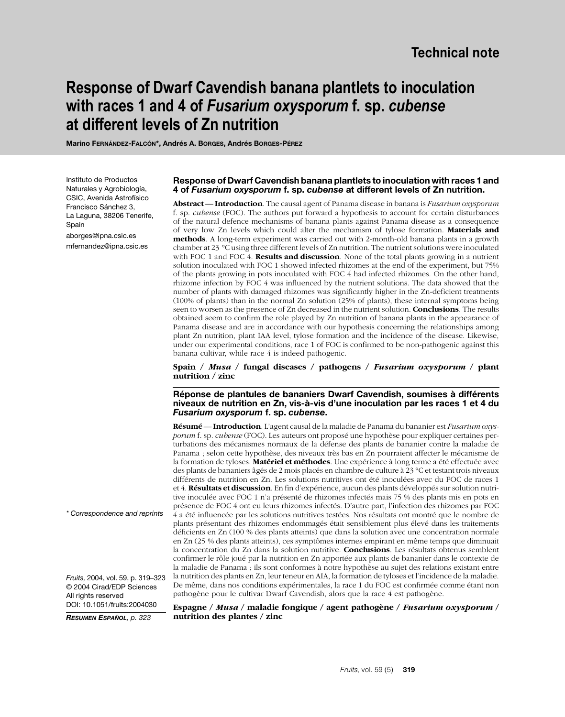# **Response of Dwarf Cavendish banana plantlets to inoculation with races 1 and 4 of** *Fusarium oxysporum* **f. sp.** *cubense* **at different levels of Zn nutrition**

**Marino FERNÁNDEZ-FALCÓN\*, Andrés A. BORGES, Andrés BORGES-PÉREZ**

Instituto de Productos Naturales y Agrobiología, CSIC, Avenida Astrofísico Francisco Sánchez 3, La Laguna, 38206 Tenerife, Spain aborges@ipna.csic.es mfernandez@ipna.csic.es

#### **Response of Dwarf Cavendish banana plantlets to inoculation with races 1 and 4 of** *Fusarium oxysporum* **f. sp.** *cubense* **at different levels of Zn nutrition.**

**Abstract** –– **Introduction**. The causal agent of Panama disease in banana is *Fusarium oxysporum* f. sp. *cubense* (FOC). The authors put forward a hypothesis to account for certain disturbances of the natural defence mechanisms of banana plants against Panama disease as a consequence of very low Zn levels which could alter the mechanism of tylose formation. **Materials and methods**. A long-term experiment was carried out with 2-month-old banana plants in a growth chamber at 23 °C using three different levels of Zn nutrition. The nutrient solutions were inoculated with FOC 1 and FOC 4. **Results and discussion**. None of the total plants growing in a nutrient solution inoculated with FOC 1 showed infected rhizomes at the end of the experiment, but 75% of the plants growing in pots inoculated with FOC 4 had infected rhizomes. On the other hand, rhizome infection by FOC 4 was influenced by the nutrient solutions. The data showed that the number of plants with damaged rhizomes was significantly higher in the Zn-deficient treatments (100% of plants) than in the normal Zn solution (25% of plants), these internal symptoms being seen to worsen as the presence of Zn decreased in the nutrient solution. **Conclusions**. The results obtained seem to confirm the role played by Zn nutrition of banana plants in the appearance of Panama disease and are in accordance with our hypothesis concerning the relationships among plant Zn nutrition, plant IAA level, tylose formation and the incidence of the disease. Likewise, under our experimental conditions, race 1 of FOC is confirmed to be non-pathogenic against this banana cultivar, while race 4 is indeed pathogenic.

**Spain /** *Musa* **/ fungal diseases / pathogens /** *Fusarium oxysporum* **/ plant nutrition / zinc**

#### **Réponse de plantules de bananiers Dwarf Cavendish, soumises à différents niveaux de nutrition en Zn, vis-à-vis d'une inoculation par les races 1 et 4 du** *Fusarium oxysporum* **f. sp.** *cubense***.**

**Résumé** –– **Introduction**. L'agent causal de la maladie de Panama du bananier est *Fusarium oxysporum* f. sp. *cubense* (FOC). Les auteurs ont proposé une hypothèse pour expliquer certaines perturbations des mécanismes normaux de la défense des plants de bananier contre la maladie de Panama ; selon cette hypothèse, des niveaux très bas en Zn pourraient affecter le mécanisme de la formation de tyloses. **Matériel et méthodes**. Une expérience à long terme a été effectuée avec des plants de bananiers âgés de 2 mois placés en chambre de culture à 23 °C et testant trois niveaux différents de nutrition en Zn. Les solutions nutritives ont été inoculées avec du FOC de races 1 et 4. **Résultats et discussion**. En fin d'expérience, aucun des plants développés sur solution nutritive inoculée avec FOC 1 n'a présenté de rhizomes infectés mais 75 % des plants mis en pots en présence de FOC 4 ont eu leurs rhizomes infectés. D'autre part, l'infection des rhizomes par FOC 4 a été influencée par les solutions nutritives testées. Nos résultats ont montré que le nombre de plants présentant des rhizomes endommagés était sensiblement plus élevé dans les traitements déficients en Zn (100 % des plants atteints) que dans la solution avec une concentration normale en Zn (25 % des plants atteints), ces symptômes internes empirant en même temps que diminuait la concentration du Zn dans la solution nutritive. **Conclusions**. Les résultats obtenus semblent confirmer le rôle joué par la nutrition en Zn apportée aux plants de bananier dans le contexte de la maladie de Panama ; ils sont conformes à notre hypothèse au sujet des relations existant entre la nutrition des plants en Zn, leur teneur en AIA, la formation de tyloses et l'incidence de la maladie. De même, dans nos conditions expérimentales, la race 1 du FOC est confirmée comme étant non pathogène pour le cultivar Dwarf Cavendish, alors que la race 4 est pathogène.

**Espagne /** *Musa* **/ maladie fongique / agent pathogène /** *Fusarium oxysporum* **/ nutrition des plantes / zinc**

*\* Correspondence and reprints*

*Fruits,* 2004, vol. 59, p. 319–323 © 2004 Cirad/EDP Sciences All rights reserved DOI: 10.1051/fruits:2004030

*RESUMEN ESPAÑOL, p. 323*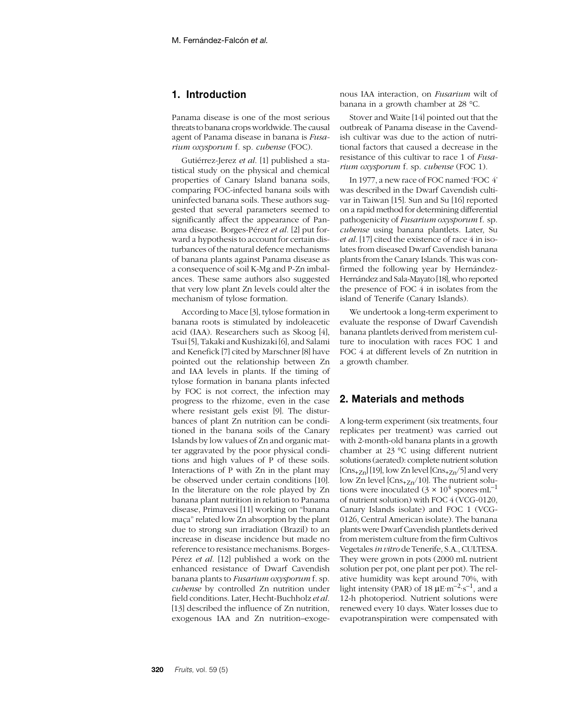## **1. Introduction**

Panama disease is one of the most serious threats to banana crops worldwide. The causal agent of Panama disease in banana is *Fusarium oxysporum* f. sp. *cubense* (FOC).

Gutiérrez-Jerez *et al*. [1] published a statistical study on the physical and chemical properties of Canary Island banana soils, comparing FOC-infected banana soils with uninfected banana soils. These authors suggested that several parameters seemed to significantly affect the appearance of Panama disease. Borges-Pérez *et al.* [2] put forward a hypothesis to account for certain disturbances of the natural defence mechanisms of banana plants against Panama disease as a consequence of soil K-Mg and P-Zn imbalances. These same authors also suggested that very low plant Zn levels could alter the mechanism of tylose formation.

According to Mace [3], tylose formation in banana roots is stimulated by indoleacetic acid (IAA). Researchers such as Skoog [4], Tsui [5], Takaki and Kushizaki [6], and Salami and Kenefick [7] cited by Marschner [8] have pointed out the relationship between Zn and IAA levels in plants. If the timing of tylose formation in banana plants infected by FOC is not correct, the infection may progress to the rhizome, even in the case where resistant gels exist [9]. The disturbances of plant Zn nutrition can be conditioned in the banana soils of the Canary Islands by low values of Zn and organic matter aggravated by the poor physical conditions and high values of P of these soils. Interactions of P with Zn in the plant may be observed under certain conditions [10]. In the literature on the role played by Zn banana plant nutrition in relation to Panama disease, Primavesi [11] working on "banana maça" related low Zn absorption by the plant due to strong sun irradiation (Brazil) to an increase in disease incidence but made no reference to resistance mechanisms. Borges-Pérez *et al*. [12] published a work on the enhanced resistance of Dwarf Cavendish banana plants to *Fusarium oxysporum* f. sp. *cubense* by controlled Zn nutrition under field conditions. Later, Hecht-Buchholz *et al.* [13] described the influence of Zn nutrition, exogenous IAA and Zn nutrition–exoge-

nous IAA interaction, on *Fusarium* wilt of banana in a growth chamber at 28 °C.

Stover and Waite [14] pointed out that the outbreak of Panama disease in the Cavendish cultivar was due to the action of nutritional factors that caused a decrease in the resistance of this cultivar to race 1 of *Fusarium oxysporum* f. sp. *cubense* (FOC 1).

In 1977, a new race of FOC named 'FOC 4' was described in the Dwarf Cavendish cultivar in Taiwan [15]. Sun and Su [16] reported on a rapid method for determining differential pathogenicity of *Fusarium oxysporum* f. sp. *cubense* using banana plantlets. Later, Su *et al*. [17] cited the existence of race 4 in isolates from diseased Dwarf Cavendish banana plants from the Canary Islands. This was confirmed the following year by Hernández-Hernández and Sala-Mayato [18], who reported the presence of FOC 4 in isolates from the island of Tenerife (Canary Islands).

We undertook a long-term experiment to evaluate the response of Dwarf Cavendish banana plantlets derived from meristem culture to inoculation with races FOC 1 and FOC 4 at different levels of Zn nutrition in a growth chamber.

#### **2. Materials and methods**

A long-term experiment (six treatments, four replicates per treatment) was carried out with 2-month-old banana plants in a growth chamber at 23 °C using different nutrient solutions (aerated): complete nutrient solution  $[Cns_{+7n}][19]$ , low Zn level  $[Cns_{+7n}/5]$  and very low Zn level  $[Cns_{+Zn}/10]$ . The nutrient solutions were inoculated  $(3 \times 10^4 \text{ spores} \cdot \text{mL}^{-1})$ of nutrient solution) with FOC 4 (VCG-0120, Canary Islands isolate) and FOC 1 (VCG-0126, Central American isolate). The banana plants were Dwarf Cavendish plantlets derived from meristem culture from the firm Cultivos Vegetales *in vitro* de Tenerife, S.A., CULTESA. They were grown in pots (2000 mL nutrient solution per pot, one plant per pot). The relative humidity was kept around 70%, with light intensity (PAR) of 18  $\mu$ E·m<sup>-2</sup>·s<sup>-1</sup>, and a 12-h photoperiod. Nutrient solutions were renewed every 10 days. Water losses due to evapotranspiration were compensated with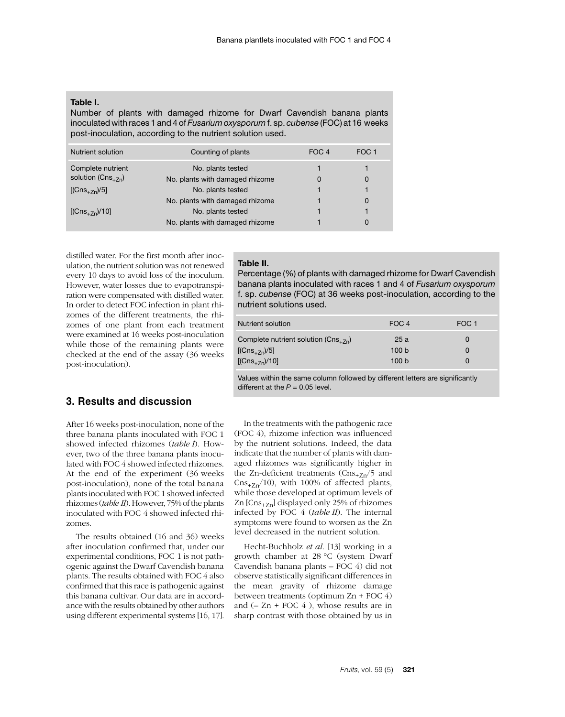#### **Table I.**

Number of plants with damaged rhizome for Dwarf Cavendish banana plants inoculated with races 1 and 4 of *Fusarium oxysporum* f. sp. *cubense* (FOC) at 16 weeks post-inoculation, according to the nutrient solution used.

| Nutrient solution               | Counting of plants              | FOC 4 | FOC 1 |
|---------------------------------|---------------------------------|-------|-------|
| Complete nutrient               | No. plants tested               |       |       |
| solution ( $\text{Cns}_{+7n}$ ) | No. plants with damaged rhizome | 0     | 0     |
| $[$ (Cns <sub>+7n</sub> )/5]    | No. plants tested               |       |       |
|                                 | No. plants with damaged rhizome |       | 0     |
| $[$ (Cns <sub>+7n</sub> )/10]   | No. plants tested               |       |       |
|                                 | No. plants with damaged rhizome |       |       |

distilled water. For the first month after inoculation, the nutrient solution was not renewed every 10 days to avoid loss of the inoculum. However, water losses due to evapotranspiration were compensated with distilled water. In order to detect FOC infection in plant rhizomes of the different treatments, the rhizomes of one plant from each treatment were examined at 16 weeks post-inoculation while those of the remaining plants were checked at the end of the assay (36 weeks post-inoculation).

## **3. Results and discussion**

After 16 weeks post-inoculation, none of the three banana plants inoculated with FOC 1 showed infected rhizomes (*table I*). However, two of the three banana plants inoculated with FOC 4 showed infected rhizomes. At the end of the experiment (36 weeks post-inoculation), none of the total banana plants inoculated with FOC 1 showed infected rhizomes (*table II*). However, 75% of the plants inoculated with FOC 4 showed infected rhizomes.

The results obtained (16 and 36) weeks after inoculation confirmed that, under our experimental conditions, FOC 1 is not pathogenic against the Dwarf Cavendish banana plants. The results obtained with FOC 4 also confirmed that this race is pathogenic against this banana cultivar. Our data are in accordance with the results obtained by other authors using different experimental systems [16, 17].

#### **Table II.**

Percentage (%) of plants with damaged rhizome for Dwarf Cavendish banana plants inoculated with races 1 and 4 of *Fusarium oxysporum* f. sp. *cubense* (FOC) at 36 weeks post-inoculation, according to the nutrient solutions used.

| Nutrient solution                                 | FOC 4            | FOC 1    |
|---------------------------------------------------|------------------|----------|
| Complete nutrient solution ( $\text{Cns}_{+7n}$ ) | 25a              | $\Omega$ |
| $[$ (Cns <sub>+7n</sub> )/5]                      | 100 <sub>b</sub> |          |
| $[(Cns_{+7n})/10]$                                | 100 <sub>b</sub> |          |

Values within the same column followed by different letters are significantly different at the  $P = 0.05$  level.

In the treatments with the pathogenic race (FOC 4), rhizome infection was influenced by the nutrient solutions. Indeed, the data indicate that the number of plants with damaged rhizomes was significantly higher in the Zn-deficient treatments  $(Cns_{+7n}/5$  and  $\text{Cns}_{+Zn}/10$ ), with 100% of affected plants, while those developed at optimum levels of Zn  $[Cons_{+Zn}]$  displayed only 25% of rhizomes infected by FOC 4 (*table II*). The internal symptoms were found to worsen as the Zn level decreased in the nutrient solution.

Hecht-Buchholz *et al*. [13] working in a growth chamber at 28 °C (system Dwarf Cavendish banana plants – FOC 4) did not observe statistically significant differences in the mean gravity of rhizome damage between treatments (optimum Zn + FOC 4) and  $(-Zn + FOC 4)$ , whose results are in sharp contrast with those obtained by us in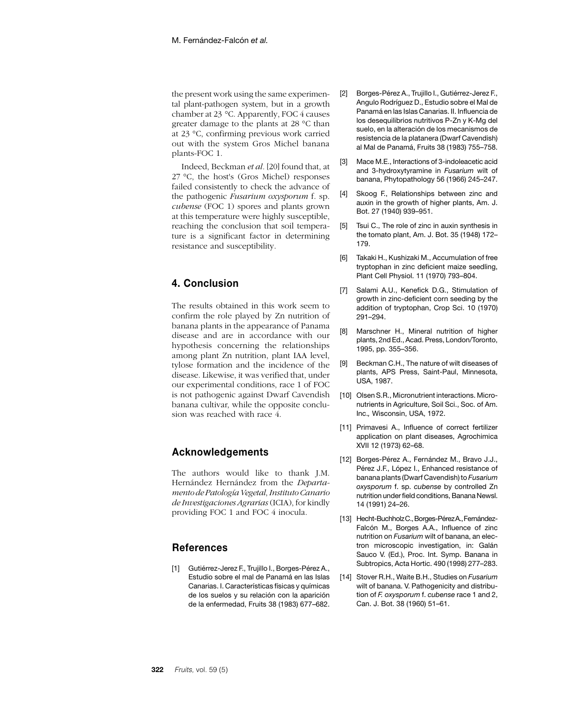the present work using the same experimental plant-pathogen system, but in a growth chamber at 23 °C. Apparently, FOC 4 causes greater damage to the plants at 28 °C than at 23 °C, confirming previous work carried out with the system Gros Michel banana plants-FOC 1.

Indeed, Beckman *et al.* [20] found that, at 27 °C, the host's (Gros Michel) responses failed consistently to check the advance of the pathogenic *Fusarium oxysporum* f. sp. *cubense* (FOC 1) spores and plants grown at this temperature were highly susceptible, reaching the conclusion that soil temperature is a significant factor in determining resistance and susceptibility.

# **4. Conclusion**

The results obtained in this work seem to confirm the role played by Zn nutrition of banana plants in the appearance of Panama disease and are in accordance with our hypothesis concerning the relationships among plant Zn nutrition, plant IAA level, tylose formation and the incidence of the disease. Likewise, it was verified that, under our experimental conditions, race 1 of FOC is not pathogenic against Dwarf Cavendish banana cultivar, while the opposite conclusion was reached with race 4.

# **Acknowledgements**

The authors would like to thank J.M. Hernández Hernández from the *Departamento de Patología Vegetal*, *Instituto Canario de Investigaciones Agrarias* (ICIA), for kindly providing FOC 1 and FOC 4 inocula.

# **References**

[1] Gutiérrez-Jerez F., Trujillo I., Borges-Pérez A., Estudio sobre el mal de Panamá en las Islas Canarias. I. Características físicas y químicas de los suelos y su relación con la aparición de la enfermedad, Fruits 38 (1983) 677–682.

- [2] Borges-Pérez A., Trujillo I., Gutiérrez-Jerez F., Angulo Rodríguez D., Estudio sobre el Mal de Panamá en las Islas Canarias. II. Influencia de los desequilibrios nutritivos P-Zn y K-Mg del suelo, en la alteración de los mecanismos de resistencia de la platanera (Dwarf Cavendish) al Mal de Panamá, Fruits 38 (1983) 755–758.
- [3] Mace M.E., Interactions of 3-indoleacetic acid and 3-hydroxytyramine in *Fusarium* wilt of banana, Phytopathology 56 (1966) 245–247.
- [4] Skoog F., Relationships between zinc and auxin in the growth of higher plants, Am. J. Bot. 27 (1940) 939–951.
- [5] Tsui C., The role of zinc in auxin synthesis in the tomato plant, Am. J. Bot. 35 (1948) 172– 179.
- [6] Takaki H., Kushizaki M., Accumulation of free tryptophan in zinc deficient maize seedling, Plant Cell Physiol. 11 (1970) 793–804.
- [7] Salami A.U., Kenefick D.G., Stimulation of growth in zinc-deficient corn seeding by the addition of tryptophan, Crop Sci. 10 (1970) 291–294.
- [8] Marschner H., Mineral nutrition of higher plants, 2nd Ed., Acad. Press, London/Toronto, 1995, pp. 355–356.
- [9] Beckman C.H., The nature of wilt diseases of plants, APS Press, Saint-Paul, Minnesota, USA, 1987.
- [10] Olsen S.R., Micronutrient interactions. Micronutrients in Agriculture, Soil Sci., Soc. of Am. Inc.*,* Wisconsin, USA, 1972.
- [11] Primavesi A., Influence of correct fertilizer application on plant diseases, Agrochimica XVII 12 (1973) 62–68.
- [12] Borges-Pérez A., Fernández M., Bravo J.J., Pérez J.F., López I., Enhanced resistance of banana plants (Dwarf Cavendish) to *Fusarium oxysporum* f. sp. *cubense* by controlled Zn nutrition under field conditions, Banana Newsl. 14 (1991) 24–26.
- [13] Hecht-Buchholz C., Borges-Pérez A., Fernández-Falcón M., Borges A.A., Influence of zinc nutrition on *Fusarium* wilt of banana, an electron microscopic investigation, in: Galán Sauco V. (Ed.), Proc. Int. Symp. Banana in Subtropics, Acta Hortic. 490 (1998) 277–283.
- [14] Stover R.H., Waite B.H., Studies on *Fusarium* wilt of banana. V. Pathogenicity and distribution of *F. oxysporum* f. *cubense* race 1 and 2, Can. J. Bot. 38 (1960) 51–61.